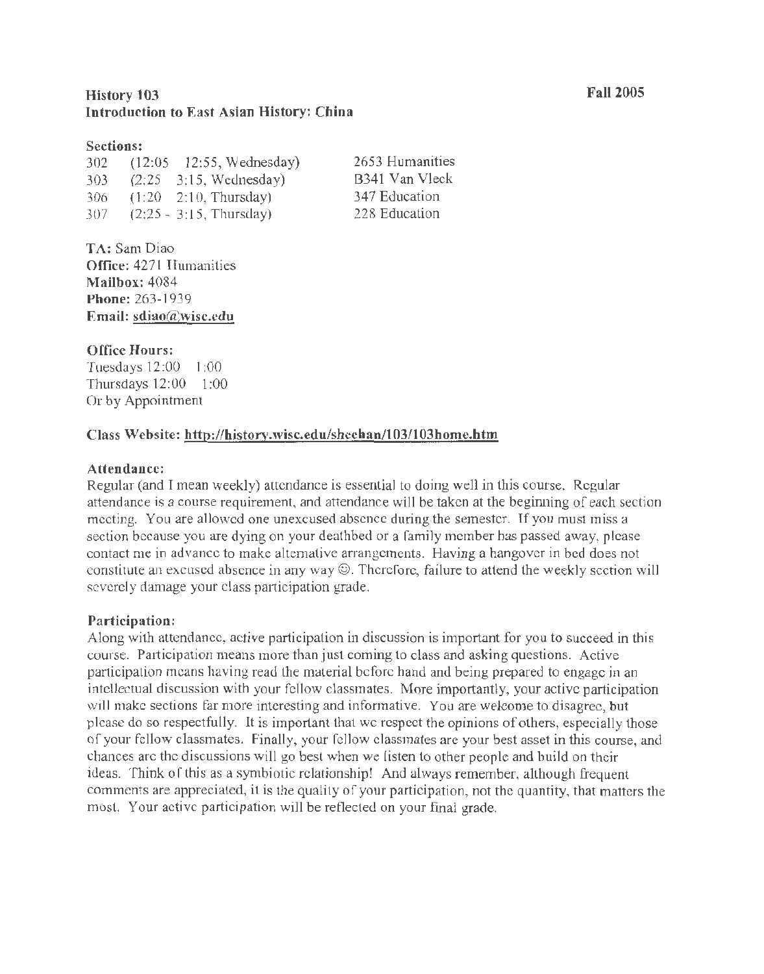## History 103 Introduction to East Asian History: China

#### Sections:

302 (12:05 - 12:55, Wednesday) 303 (2:25 - 3:15, Wednesday) 306 (1:20 - 2:10, Thursday) 307 (2:25 - 3:15, Thursday)

2653 Humanities 8341 Van Vleck 347 Education 228 Education

TA: SamDiao Office: 4271 Humanities Mailbox: 4084 Phone: 263-1939 Email: sdiao@wisc.cdu

## Office Hours:

Tuesdays 12:00 - 1 :00 Thursdays 12:00 - 1:00 Or by Appointment

## Class Website: http://history.wisc.edu/sheehan/l 03/103home.htm

### Attendance:

Regular (and I mean weekly) attendance is essential to doing well in this course. Regular attendance is a course requirement, and attendance will be taken at the beginning of each section meeting. You are allowed one unexcused absence during the semester. If you must miss a section because you are dying on your deathbed or a family member has passed away, please contact me in advance to make alternative arrangements. Having a hangover in bed does not constitute an excused absence in any way©. Therefore, failure to attend the weekly section will severely damage your class participation grade.

## Participation:

Along with attendance, active participation in discussion is important for you to succeed in this course. Participation means more than just coming to class and asking questions. Active participation means having read the material before hand and being prepared to engage in an intellectual discussion with your fellow classmates. More importantly, your active participation will make sections far more interesting and informative. You are welcome to disagree, but please do so respectfully. It is important that we respect the opinions of others, especially those of your fellow classmates. Finally, your fellow classmates are your best asset in this course, and chances are the discussions will go best when we listen to other people and build on their ideas. Think of this as a symbiotic relationship! And always remember, although frequent comments are appreciated, it is the quality of your participation, not the quantity, that matters the most. Your active participation will be reflected on your final grade.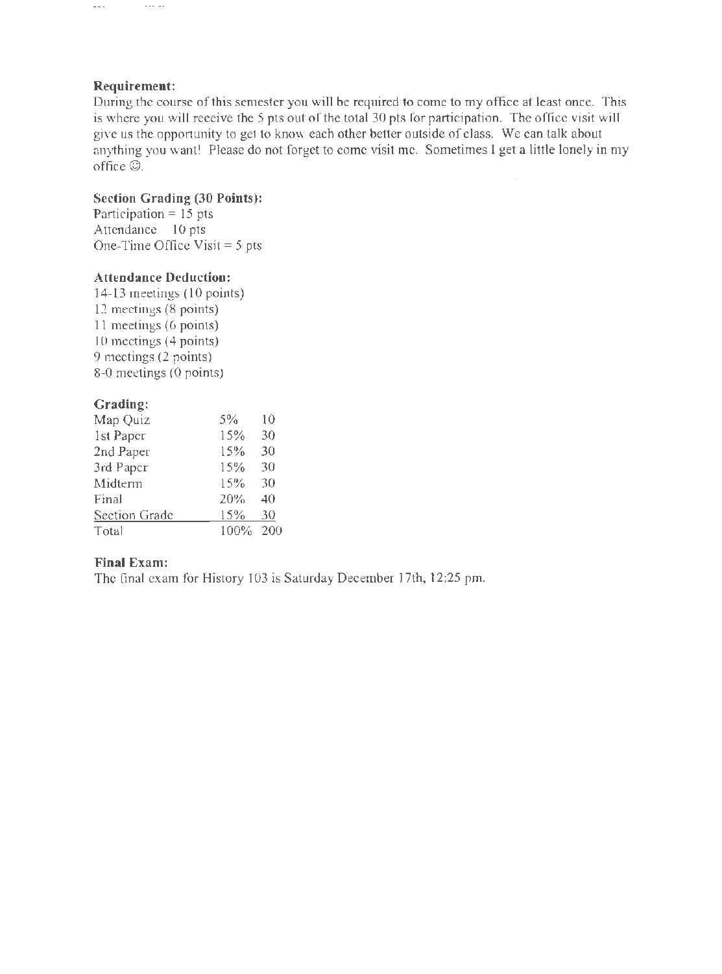## **Requirement:**

 $\sim$  -  $\sim$  -  $\sim$ 

 $\omega \omega$  .

During the course of this semester you will be required to come to my office at least once. This is where you will receive the 5 pts out of the total 30 pts for participation. The office visit will give us the opportunity to get to know each other better outside of class. We can talk about anything you want! Please do not forget to come visit me. Sometimes I get a little lonely in my office©.

# **Section Grading (30 Points):**

Participation = 15 pts Attendance = 10 pts One-Time Office Visit  $= 5$  pts

### **Attendance Deduction:**

14-13 meetings ( 10 points) 12 meetings (8 points) 11 meetings (6 points) 10 meetings (4 points) 9 meetings (2 points) 8-0 meetings (0 points)

## **Grading:**

| Map Quiz      | 5%   | 10  |
|---------------|------|-----|
| 1st Paper     | 15%  | 30  |
| 2nd Paper     | 15%  | 30  |
| 3rd Paper     | 15%  | 30  |
| Midterm       | 15%  | 30  |
| Final         | 20%  | 40  |
| Section Grade | 15%  | 30  |
| Total         | 100% | 200 |

## **Final Exam:**

The final exam for History 103 is Saturday December 17th, 12:25 pm.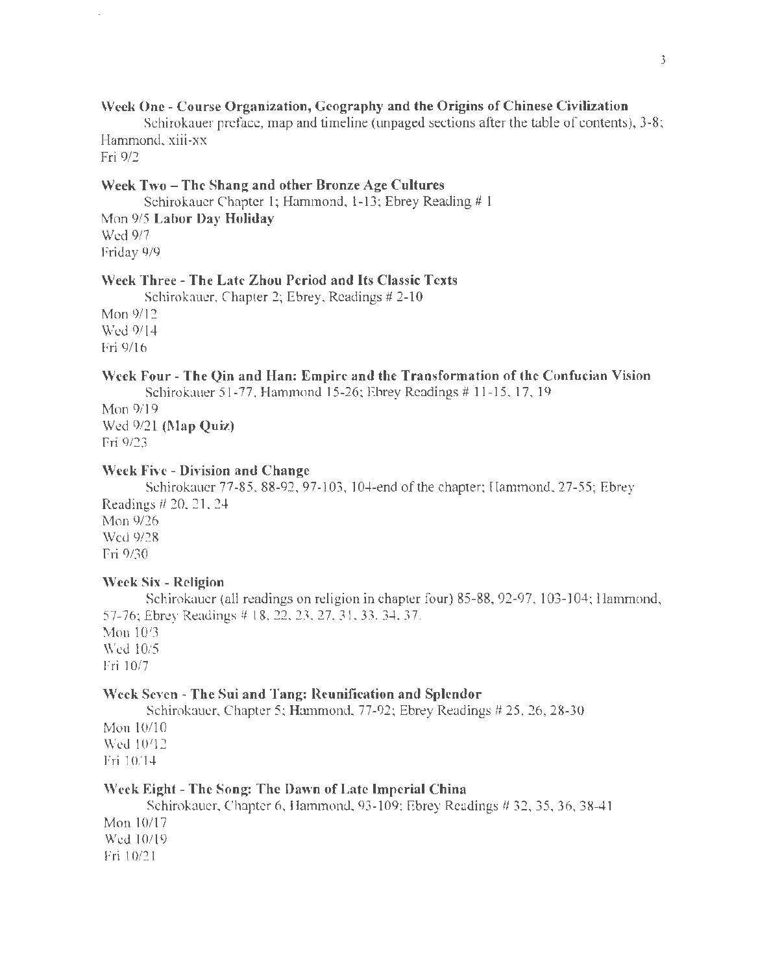## Week One- Course Organization, Geography and the Origins of Chinese Civilization

Schirokauer preface, map and timeline (unpaged sections after the table of contents), 3-8; Hammond, xiii-xx

Fri 9/2

#### Week Two - The Shang and other Bronze Age Cultures

Schirokauer Chapter 1; Hammond, 1-13; Ebrey Reading # 1 Mon 9/5 Labor Day Holiday Wed 9/7 Friday 9/9

## Week Three- The Late Zhou Period and Its Classic Texts

Schirokauer, Chapter 2; Ebrey, Readings # 2-10 Mon 9/12 Wed 9114 Fri 9/16

#### Week Four- The Qin and Han: Empire and the Transformation of the Confucian Vision Schirokauer 51-77, Hammond 15-26; Ebrey Readings # 11-15, 17, 19

Mon 9/19 Wed 9/21 (Map Quiz) Fri 9/23

#### Week Five - Division and Change

Schirokauer 77-85, 88-92, 97-103, 104-end ofthe chapter; Hammond, 27-55; Ebrey Readings # 20, 21, 24 Mon 9/26 Wed 9/28 Fri 9/30

#### Week Six - Religion

Schirokauer (all readings on religion in chapter four) 85-88, 92-97, 103-104; Hammond, 57-76; Ebrey Readings# 18, 22, 23, 27, 31, 33, 34, 37. Mon 10/3 Wed 10/5

Fri 10/7

#### Week Seven- The Sui and Tang: Reunification and Splendor

Schirokauer, Chapter 5; Hammond, 77-92; Ebrey Readings # 25, 26, 28-30 Mon  $10/10$ Wed 10112

Fri 10/14

## Week Eight- The Song: The Dawn of Late Imperial China

Schirokauer, Chapter 6, Hammond, 93-109; Ebrey Readings # 32, 35, 36,38-41 Mon 10/17 Wed 10119 Fri 10/21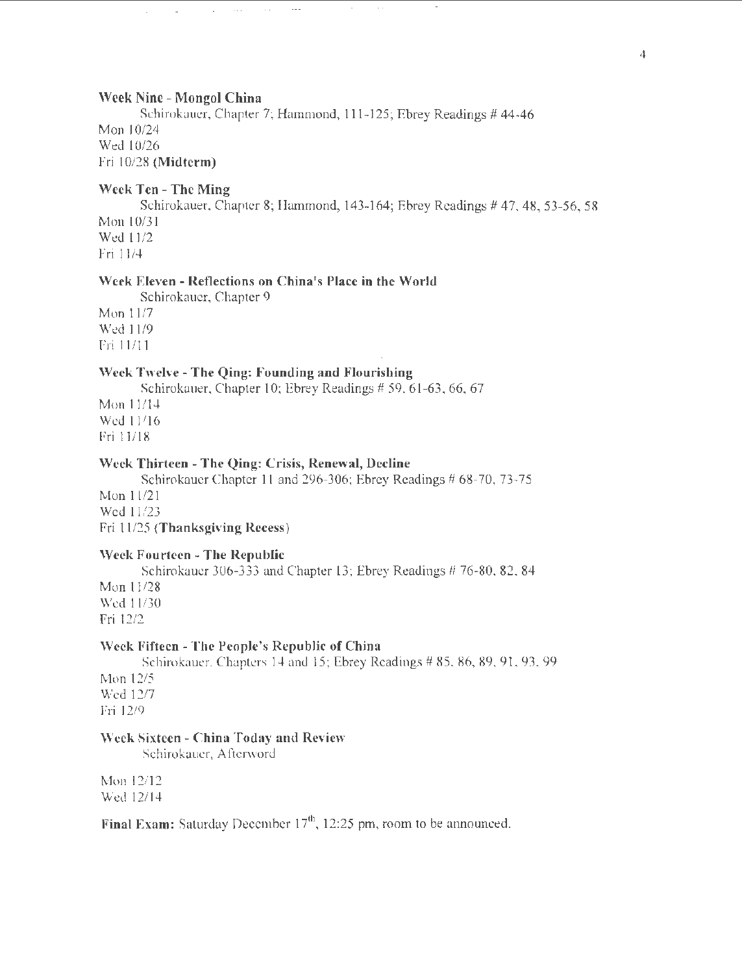#### Week Nine- Mongol China

 $\sim$   $\sim$   $\sim$ 

 $\sim$   $\sim$ 

Schirokauer, Chapter 7; Hammond, 111-125; Ebrey Readings # 44-46 Mon 10/24 Wed 10/26 Fri 10/28 (Midterm)

#### Week Ten- The Ming

Schirokauer, Chapter 8; Hammond, 143-164; Ebrey Readings # 47, 48, 53-56, 58 Mon 10/3 1 Wed 11/2 Fri 11 /4

## Week Eleven- Reflections on China's Place in the World

Schirokauer, Chapter 9 Mon 11/7 Wed 11/9 Fri 11111

#### Week Twelve- The Qing: Founding and Flourishing

Schirokauer, Chapter 10; Ebrey Readings # 59, 61-63, 66, 67

Mon 11114 Wed 11116 Frill/18

#### Week Thirteen - The Qing: Crisis, Renewal, Decline

Schirokauer Chapter 11 and 296-306; Ebrey Readings # 68-70, 73-75

Mon 11/21 Wed 11/23 Fri 11/25 (Thanksgiving Recess)

#### Week Fourteen- The Republic

Schirokauer 306-333 and Chapter 13; Ebrey Readings # 76-80, 82, 84 Mon 11/28

Wed 11/30 Fri 12/2

#### Week Fifteen- The People's Republic of China

Schirokauer, Chapters 14 and 15; Ebrey Readings # 85, 86, 89, 91, 93,99 Mon 12/5 Wed 12/7

Fri 12/9

#### Week Sixteen- China Today and Review

Schirokauer, Afterword

Mon 12/12 Wed 12/14

Final Exam: Saturday December  $17<sup>th</sup>$ , 12:25 pm, room to be announced.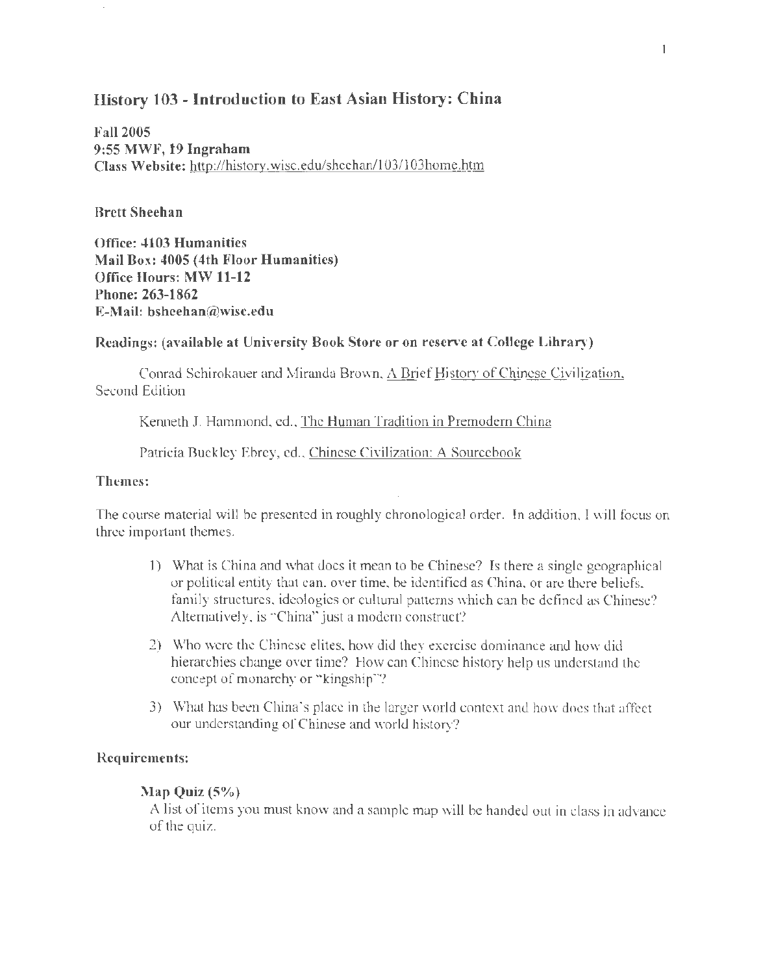## History 103- Introduction to East Asian History: China

Fall2005 9:55 MWF, 19 Ingraham Class Website: http://history. wisc.edu/sheehan/1 03/1 03home.htm

#### Brett Sheehan

Office: 4103 Humanities Mail Box: 4005 (4th Floor Humanities) Office Hours: MW 11-12 Phone: 263-1862 E-Mail: bsheehan@wisc.edu

#### Readings: (available at University Book Store or on reserve at College Library)

Conrad Schirokauer and Miranda Brown, A Brief History of Chinese Civilization, Second Edition

Kenneth J. Hammond, ed., The Human Tradition in Premodern China

Patricia Buckley Ebrey, ed., Chinese Civilization: A Sourcebook

#### Themes:

The course material will be presented in roughly chronological order. In addition, I will focus on three important themes.

- 1) What is China and what does it mean to be Chinese? Is there a single geographical or political entity that can, over time, be identified as China, or are there beliefs, family structures, ideologies or cultural patterns which can be defined as Chinese? Alternatively, is "China" just a modern construct?
- 2) Who were the Chinese elites, how did they exercise dominance and how did hierarchies change over time? How can Chinese history help us understand the concept of monarchy or "kingship"?
- 3) What has been China's place in the larger world context and how does that affect our understanding of Chinese and world history?

#### Requirements:

#### Map Quiz (5%)

A list of items you must know and a sample map will be handed out in class in advance of the quiz.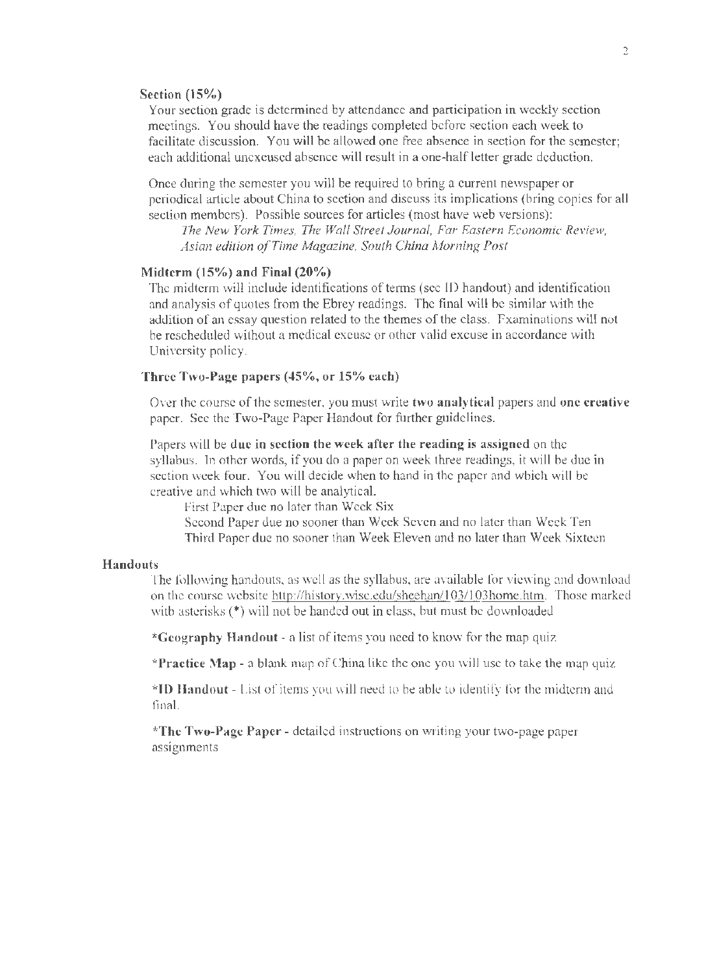#### **Section (15%)**

Your section grade is determined by attendance and participation in weekly section meetings. You should have the readings completed before section each week to facilitate discussion. You will be allowed one free absence in section for the semester; each additional unexcused absence will result in a one-half letter grade deduction.

Once during the semester you will be required to bring a current newspaper or periodical article about China to section and discuss its implications (bring copies for all section members). Possible sources for articles (most have web versions):

*The New York Times, The Wall Street Journal, Far Eastern Economic Review, Asian edition ofTime Magazine, South China Morning Post* 

#### **Midterm (15%) and Final (20%)**

The midterm will include identifications of terms (see ID handout) and identification and analysis of quotes from the Ebrey readings. The final will be similar with the addition of an essay question related to the themes of the class. Examinations will not be rescheduled without a medical excuse or other valid excuse in accordance with University policy.

#### **Three Two-Page papers (45%, or 15% each)**

Over the course of the semester, you must write **two analytical** papers and **one creative**  paper. See the Two-Page Paper Handout for further guidelines.

Papers will be **due in section the week after the reading is assigned** on the syllabus. In other words, if you do a paper on week three readings, it will be due in section week four. You will decide when to hand in the paper and which will be creative and which two will be analytical.

First Paper due no later than Week Six

Second Paper due no sooner than Week Seven and no later than Week Ten Third Paper due no sooner than Week Eleven and no later than Week Sixteen

#### **Handouts**

The following handouts, as well as the syllabus, are available for viewing and download on the course website http://history.wisc.edu/sheehan/103/103home.htm. Those marked with asterisks (\*) will not be handed out in class, but must be downloaded

**\*Geography Handout** - a list of items you need to know for the map quiz

**\*Practice Map** - a blank map of China like the one you will use to take the map quiz

**\*ID Handout-** List of items you will need to be able to identify for the midterm and final.

**\*The Two-Page Paper-** detailed instructions on writing your two-page paper assignments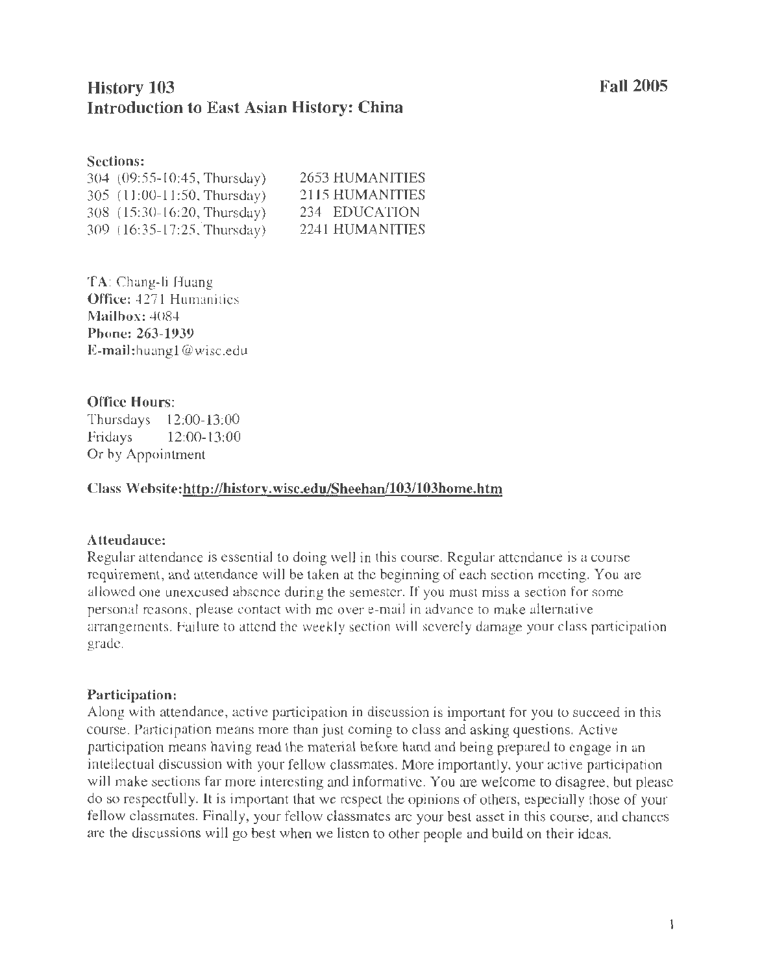# History 103 Introduction to East Asian History: China

#### Sections:

| 304 (09:55-10:45, Thursday) | 2653 HUMANITIES |
|-----------------------------|-----------------|
| 305 (11:00-11:50, Thursday) | 2115 HUMANITIES |
| 308 (15:30-16:20, Thursday) | 234 EDUCATION   |
| 309 (16:35-17:25, Thursday) | 2241 HUMANITIES |

TA: Chang-li Huang Office: 4271 Humanities Mailbox: 4084 Phone: 263-1939 E-mail:huangl @wisc.edu

## Office Hours:

Thursdays 12:00-13:00 Fridays 12:00-13:00 Or by Appointment

## Class Website:http://history. wisc.edu/Sheehan/103/103home.htm

## Attendance:

Regular attendance is essential to doing well in this course. Regular attendance is a course requirement, and attendance will be taken at the beginning of each section meeting. You are allowed one unexcused absence during the semester. If you must miss a section for some personal reasons, please contact with me over e-mail in advance to make allemative arrangements. Failure to attend the weekly section will severely damage your class participation grade.

#### Participation:

Along with attendance, active participation in discussion is important for you to succeed in this course. Participation means more than just coming to class and asking questions. Active participation means having read the material before hand and being prepared to engage in an intellectual discussion with your fellow classmates. More importantly, your active participation will make sections far more interesting and informative. You are welcome to disagree, but please do so respectfully. It is important that we respect the opinions of others, especially those of your fellow classmates. Finally, your fellow classmates are your best asset in this course, and chances are the discussions will go best when we listen to other people and build on their ideas.